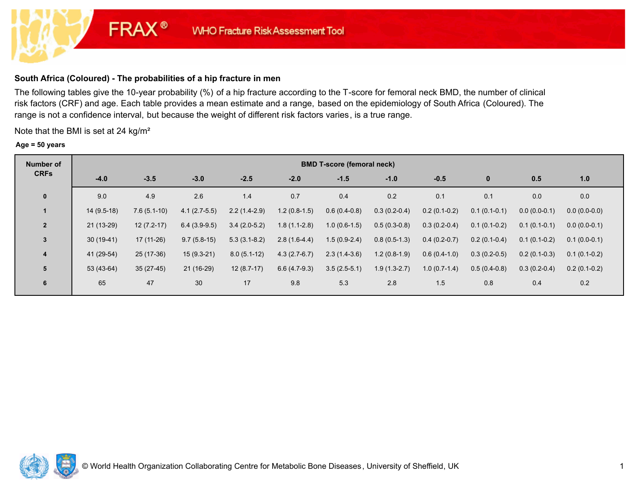## **South Africa (Coloured) - The probabilities of a hip fracture in men**

**FRAX®** 

The following tables give the 10-year probability (%) of a hip fracture according to the T-score for femoral neck BMD, the number of clinical risk factors (CRF) and age. Each table provides a mean estimate and a range, based on the epidemiology of South Africa (Coloured). The range is not a confidence interval, but because the weight of different risk factors varies, is a true range.

Note that the BMI is set at 24 kg/m²

#### **Age = 50 years**

| Number of      |             |               |                |                |                | <b>BMD T-score (femoral neck)</b> |                |                |                |                |                |
|----------------|-------------|---------------|----------------|----------------|----------------|-----------------------------------|----------------|----------------|----------------|----------------|----------------|
| <b>CRFs</b>    | $-4.0$      | $-3.5$        | $-3.0$         | $-2.5$         | $-2.0$         | $-1.5$                            | $-1.0$         | $-0.5$         | 0              | 0.5            | 1.0            |
| $\mathbf 0$    | 9.0         | 4.9           | 2.6            | 1.4            | 0.7            | 0.4                               | 0.2            | 0.1            | 0.1            | 0.0            | 0.0            |
| $\mathbf 1$    | 14 (9.5-18) | $7.6(5.1-10)$ | $4.1(2.7-5.5)$ | $2.2(1.4-2.9)$ | $1.2(0.8-1.5)$ | $0.6(0.4-0.8)$                    | $0.3(0.2-0.4)$ | $0.2(0.1-0.2)$ | $0.1(0.1-0.1)$ | $0.0(0.0-0.1)$ | $0.0(0.0-0.0)$ |
| $\overline{2}$ | $21(13-29)$ | $12(7.2-17)$  | $6.4(3.9-9.5)$ | $3.4(2.0-5.2)$ | $1.8(1.1-2.8)$ | $1.0(0.6-1.5)$                    | $0.5(0.3-0.8)$ | $0.3(0.2-0.4)$ | $0.1(0.1-0.2)$ | $0.1(0.1-0.1)$ | $0.0(0.0-0.1)$ |
| $\mathbf{3}$   | $30(19-41)$ | $17(11-26)$   | $9.7(5.8-15)$  | $5.3(3.1-8.2)$ | $2.8(1.6-4.4)$ | $1.5(0.9-2.4)$                    | $0.8(0.5-1.3)$ | $0.4(0.2-0.7)$ | $0.2(0.1-0.4)$ | $0.1(0.1-0.2)$ | $0.1(0.0-0.1)$ |
| $\overline{4}$ | 41 (29-54)  | $25(17-36)$   | $15(9.3-21)$   | $8.0(5.1-12)$  | $4.3(2.7-6.7)$ | $2.3(1.4-3.6)$                    | $1.2(0.8-1.9)$ | $0.6(0.4-1.0)$ | $0.3(0.2-0.5)$ | $0.2(0.1-0.3)$ | $0.1(0.1-0.2)$ |
| 5              | $53(43-64)$ | $35(27-45)$   | $21(16-29)$    | $12(8.7-17)$   | $6.6(4.7-9.3)$ | $3.5(2.5-5.1)$                    | $1.9(1.3-2.7)$ | $1.0(0.7-1.4)$ | $0.5(0.4-0.8)$ | $0.3(0.2-0.4)$ | $0.2(0.1-0.2)$ |
| $6\phantom{1}$ | 65          | 47            | 30             | 17             | 9.8            | 5.3                               | 2.8            | 1.5            | 0.8            | 0.4            | 0.2            |

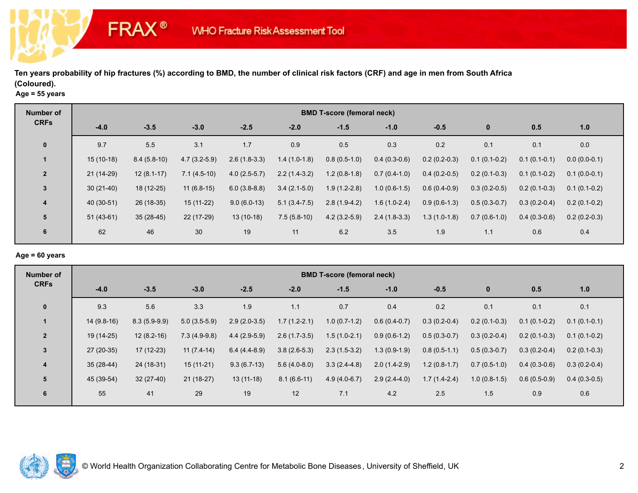# **Age = 55 years**

**FRAX®** 

| Number of      |             |               |                |                |                | <b>BMD T-score (femoral neck)</b> |                |                |                |                |                |
|----------------|-------------|---------------|----------------|----------------|----------------|-----------------------------------|----------------|----------------|----------------|----------------|----------------|
| <b>CRFs</b>    | $-4.0$      | $-3.5$        | $-3.0$         | $-2.5$         | $-2.0$         | $-1.5$                            | $-1.0$         | $-0.5$         | $\bf{0}$       | 0.5            | 1.0            |
| $\mathbf 0$    | 9.7         | 5.5           | 3.1            | 1.7            | 0.9            | 0.5                               | 0.3            | 0.2            | 0.1            | 0.1            | 0.0            |
|                | $15(10-18)$ | $8.4(5.8-10)$ | $4.7(3.2-5.9)$ | $2.6(1.8-3.3)$ | $1.4(1.0-1.8)$ | $0.8(0.5-1.0)$                    | $0.4(0.3-0.6)$ | $0.2(0.2-0.3)$ | $0.1(0.1-0.2)$ | $0.1(0.1-0.1)$ | $0.0(0.0-0.1)$ |
| $\overline{2}$ | 21 (14-29)  | $12(8.1-17)$  | $7.1(4.5-10)$  | $4.0(2.5-5.7)$ | $2.2(1.4-3.2)$ | $1.2(0.8-1.8)$                    | $0.7(0.4-1.0)$ | $0.4(0.2-0.5)$ | $0.2(0.1-0.3)$ | $0.1(0.1-0.2)$ | $0.1(0.0-0.1)$ |
| $\mathbf{3}$   | $30(21-40)$ | $18(12-25)$   | $11(6.8-15)$   | $6.0(3.8-8.8)$ | $3.4(2.1-5.0)$ | $1.9(1.2-2.8)$                    | $1.0(0.6-1.5)$ | $0.6(0.4-0.9)$ | $0.3(0.2-0.5)$ | $0.2(0.1-0.3)$ | $0.1(0.1-0.2)$ |
| $\overline{4}$ | 40 (30-51)  | 26 (18-35)    | $15(11-22)$    | $9.0(6.0-13)$  | $5.1(3.4-7.5)$ | $2.8(1.9-4.2)$                    | $1.6(1.0-2.4)$ | $0.9(0.6-1.3)$ | $0.5(0.3-0.7)$ | $0.3(0.2-0.4)$ | $0.2(0.1-0.2)$ |
| 5              | $51(43-61)$ | $35(28-45)$   | 22 (17-29)     | $13(10-18)$    | $7.5(5.8-10)$  | $4.2(3.2-5.9)$                    | $2.4(1.8-3.3)$ | $1.3(1.0-1.8)$ | $0.7(0.6-1.0)$ | $0.4(0.3-0.6)$ | $0.2(0.2-0.3)$ |
| 6              | 62          | 46            | 30             | 19             | 11             | 6.2                               | 3.5            | 1.9            | 1.1            | 0.6            | 0.4            |

## **Age = 60 years**

| Number of      |              |                |                |                |                | <b>BMD T-score (femoral neck)</b> |                |                |                |                |                |
|----------------|--------------|----------------|----------------|----------------|----------------|-----------------------------------|----------------|----------------|----------------|----------------|----------------|
| <b>CRFs</b>    | $-4.0$       | $-3.5$         | $-3.0$         | $-2.5$         | $-2.0$         | $-1.5$                            | $-1.0$         | $-0.5$         | $\bf{0}$       | 0.5            | 1.0            |
| $\mathbf 0$    | 9.3          | 5.6            | 3.3            | 1.9            | 1.1            | 0.7                               | 0.4            | 0.2            | 0.1            | 0.1            | 0.1            |
|                | $14(9.8-16)$ | $8.3(5.9-9.9)$ | $5.0(3.5-5.9)$ | $2.9(2.0-3.5)$ | $1.7(1.2-2.1)$ | $1.0(0.7-1.2)$                    | $0.6(0.4-0.7)$ | $0.3(0.2-0.4)$ | $0.2(0.1-0.3)$ | $0.1(0.1-0.2)$ | $0.1(0.1-0.1)$ |
| $\overline{2}$ | 19 (14-25)   | $12(8.2-16)$   | $7.3(4.9-9.8)$ | $4.4(2.9-5.9)$ | $2.6(1.7-3.5)$ | $1.5(1.0-2.1)$                    | $0.9(0.6-1.2)$ | $0.5(0.3-0.7)$ | $0.3(0.2-0.4)$ | $0.2(0.1-0.3)$ | $0.1(0.1-0.2)$ |
| $\mathbf{3}$   | $27(20-35)$  | $17(12-23)$    | $11(7.4-14)$   | $6.4(4.4-8.9)$ | $3.8(2.6-5.3)$ | $2.3(1.5-3.2)$                    | $1.3(0.9-1.9)$ | $0.8(0.5-1.1)$ | $0.5(0.3-0.7)$ | $0.3(0.2-0.4)$ | $0.2(0.1-0.3)$ |
| $\overline{4}$ | $35(28-44)$  | 24 (18-31)     | $15(11-21)$    | $9.3(6.7-13)$  | $5.6(4.0-8.0)$ | $3.3(2.4-4.8)$                    | $2.0(1.4-2.9)$ | $1.2(0.8-1.7)$ | $0.7(0.5-1.0)$ | $0.4(0.3-0.6)$ | $0.3(0.2-0.4)$ |
| 5              | 45 (39-54)   | $32(27-40)$    | $21(18-27)$    | $13(11-18)$    | $8.1(6.6-11)$  | $4.9(4.0-6.7)$                    | $2.9(2.4-4.0)$ | $1.7(1.4-2.4)$ | $1.0(0.8-1.5)$ | $0.6(0.5-0.9)$ | $0.4(0.3-0.5)$ |
| 6              | 55           | 41             | 29             | 19             | 12             | 7.1                               | 4.2            | 2.5            | 1.5            | 0.9            | 0.6            |

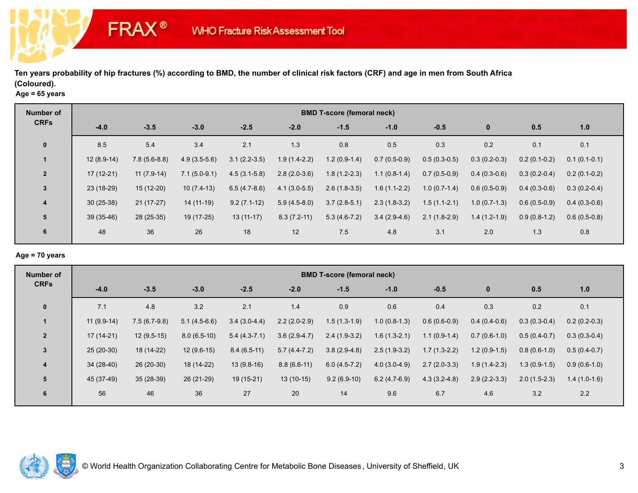# **Age = 65 years**

**FRAX®** 

| Number of      |              | <b>BMD T-score (femoral neck)</b> |                |                |                |                |                |                |                |                |                |  |  |  |  |
|----------------|--------------|-----------------------------------|----------------|----------------|----------------|----------------|----------------|----------------|----------------|----------------|----------------|--|--|--|--|
| <b>CRFs</b>    | $-4.0$       | $-3.5$                            | $-3.0$         | $-2.5$         | $-2.0$         | $-1.5$         | $-1.0$         | $-0.5$         | $\bf{0}$       | 0.5            | 1.0            |  |  |  |  |
| $\mathbf 0$    | 8.5          | 5.4                               | 3.4            | 2.1            | 1.3            | 0.8            | 0.5            | 0.3            | 0.2            | 0.1            | 0.1            |  |  |  |  |
|                | $12(8.9-14)$ | $7.8(5.6-8.8)$                    | $4.9(3.5-5.6)$ | $3.1(2.2-3.5)$ | $1.9(1.4-2.2)$ | $1.2(0.9-1.4)$ | $0.7(0.5-0.9)$ | $0.5(0.3-0.5)$ | $0.3(0.2-0.3)$ | $0.2(0.1-0.2)$ | $0.1(0.1-0.1)$ |  |  |  |  |
| $\overline{2}$ | $17(12-21)$  | $11(7.9-14)$                      | $7.1(5.0-9.1)$ | $4.5(3.1-5.8)$ | $2.8(2.0-3.6)$ | $1.8(1.2-2.3)$ | $1.1(0.8-1.4)$ | $0.7(0.5-0.9)$ | $0.4(0.3-0.6)$ | $0.3(0.2-0.4)$ | $0.2(0.1-0.2)$ |  |  |  |  |
| $\mathbf{3}$   | 23 (18-29)   | $15(12-20)$                       | $10(7.4-13)$   | $6.5(4.7-8.6)$ | $4.1(3.0-5.5)$ | $2.6(1.8-3.5)$ | $1.6(1.1-2.2)$ | $1.0(0.7-1.4)$ | $0.6(0.5-0.9)$ | $0.4(0.3-0.6)$ | $0.3(0.2-0.4)$ |  |  |  |  |
| $\overline{4}$ | $30(25-38)$  | $21(17-27)$                       | 14 (11-19)     | $9.2(7.1-12)$  | $5.9(4.5-8.0)$ | $3.7(2.8-5.1)$ | $2.3(1.8-3.2)$ | $1.5(1.1-2.1)$ | $1.0(0.7-1.3)$ | $0.6(0.5-0.9)$ | $0.4(0.3-0.6)$ |  |  |  |  |
| 5              | 39 (35-46)   | 28 (25-35)                        | 19 (17-25)     | $13(11-17)$    | $8.3(7.2-11)$  | $5.3(4.6-7.2)$ | $3.4(2.9-4.6)$ | $2.1(1.8-2.9)$ | $1.4(1.2-1.9)$ | $0.9(0.8-1.2)$ | $0.6(0.5-0.8)$ |  |  |  |  |
| 6              | 48           | 36                                | 26             | 18             | 12             | 7.5            | 4.8            | 3.1            | 2.0            | 1.3            | 0.8            |  |  |  |  |

## **Age = 70 years**

| <b>Number of</b>        |              |                |                |                |                | <b>BMD T-score (femoral neck)</b> |                |                |                |                |                |
|-------------------------|--------------|----------------|----------------|----------------|----------------|-----------------------------------|----------------|----------------|----------------|----------------|----------------|
| <b>CRFs</b>             | $-4.0$       | $-3.5$         | $-3.0$         | $-2.5$         | $-2.0$         | $-1.5$                            | $-1.0$         | $-0.5$         | $\bf{0}$       | 0.5            | 1.0            |
| $\mathbf{0}$            | 7.1          | 4.8            | 3.2            | 2.1            | 1.4            | 0.9                               | 0.6            | 0.4            | 0.3            | 0.2            | 0.1            |
|                         | $11(9.9-14)$ | $7.5(6.7-9.8)$ | $5.1(4.5-6.6)$ | $3.4(3.0-4.4)$ | $2.2(2.0-2.9)$ | $1.5(1.3-1.9)$                    | $1.0(0.8-1.3)$ | $0.6(0.6-0.9)$ | $0.4(0.4-0.6)$ | $0.3(0.3-0.4)$ | $0.2(0.2-0.3)$ |
| $\overline{2}$          | $17(14-21)$  | $12(9.5-15)$   | $8.0(6.5-10)$  | $5.4(4.3-7.1)$ | $3.6(2.9-4.7)$ | $2.4(1.9-3.2)$                    | $1.6(1.3-2.1)$ | $1.1(0.9-1.4)$ | $0.7(0.6-1.0)$ | $0.5(0.4-0.7)$ | $0.3(0.3-0.4)$ |
| $\mathbf{3}$            | $25(20-30)$  | 18 (14-22)     | $12(9.6-15)$   | $8.4(6.5-11)$  | $5.7(4.4-7.2)$ | $3.8(2.9-4.8)$                    | $2.5(1.9-3.2)$ | $1.7(1.3-2.2)$ | $1.2(0.9-1.5)$ | $0.8(0.6-1.0)$ | $0.5(0.4-0.7)$ |
| $\overline{\mathbf{4}}$ | 34 (28-40)   | 26 (20-30)     | 18 (14-22)     | $13(9.8-16)$   | $8.8(6.6-11)$  | $6.0(4.5-7.2)$                    | $4.0(3.0-4.9)$ | $2.7(2.0-3.3)$ | $1.9(1.4-2.3)$ | $1.3(0.9-1.5)$ | $0.9(0.6-1.0)$ |
| 5                       | 45 (37-49)   | $35(28-39)$    | 26 (21-29)     | 19 (15-21)     | $13(10-15)$    | $9.2(6.9-10)$                     | $6.2(4.7-6.9)$ | $4.3(3.2-4.8)$ | $2.9(2.2-3.3)$ | $2.0(1.5-2.3)$ | $1.4(1.0-1.6)$ |
| 6                       | 56           | 46             | 36             | 27             | 20             | 14                                | 9.6            | 6.7            | 4.6            | 3.2            | 2.2            |

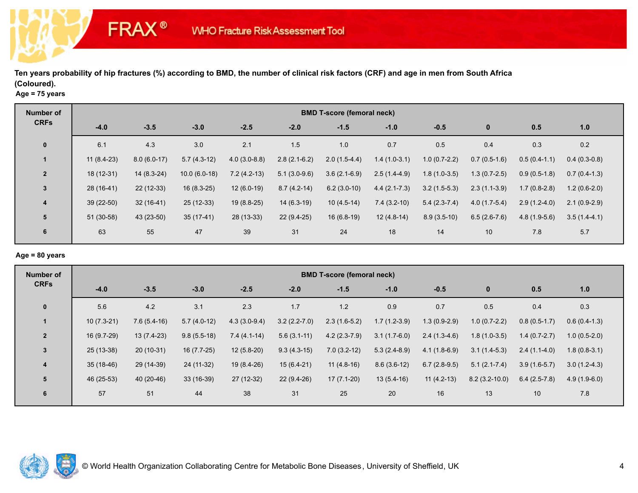# **Age = 75 years**

**FRAX®** 

| <b>Number of</b> |              |               |                |                |                | <b>BMD T-score (femoral neck)</b> |                  |                |                |                |                |
|------------------|--------------|---------------|----------------|----------------|----------------|-----------------------------------|------------------|----------------|----------------|----------------|----------------|
| <b>CRFs</b>      | $-4.0$       | $-3.5$        | $-3.0$         | $-2.5$         | $-2.0$         | $-1.5$                            | $-1.0$           | $-0.5$         | $\bf{0}$       | 0.5            | 1.0            |
| $\mathbf 0$      | 6.1          | 4.3           | 3.0            | 2.1            | 1.5            | 1.0                               | 0.7              | 0.5            | 0.4            | 0.3            | 0.2            |
|                  | $11(8.4-23)$ | $8.0(6.0-17)$ | $5.7(4.3-12)$  | $4.0(3.0-8.8)$ | $2.8(2.1-6.2)$ | $2.0(1.5-4.4)$                    | $1.4(1.0-3.1)$   | $1.0(0.7-2.2)$ | $0.7(0.5-1.6)$ | $0.5(0.4-1.1)$ | $0.4(0.3-0.8)$ |
| $\overline{2}$   | $18(12-31)$  | 14 (8.3-24)   | $10.0(6.0-18)$ | $7.2(4.2-13)$  | $5.1(3.0-9.6)$ | $3.6(2.1-6.9)$                    | $2.5(1.4-4.9)$   | $1.8(1.0-3.5)$ | $1.3(0.7-2.5)$ | $0.9(0.5-1.8)$ | $0.7(0.4-1.3)$ |
| 3                | $28(16-41)$  | $22(12-33)$   | $16(8.3-25)$   | $12(6.0-19)$   | $8.7(4.2-14)$  | $6.2(3.0-10)$                     | $4.4(2.1 - 7.3)$ | $3.2(1.5-5.3)$ | $2.3(1.1-3.9)$ | $1.7(0.8-2.8)$ | $1.2(0.6-2.0)$ |
| $\overline{4}$   | $39(22-50)$  | $32(16-41)$   | $25(12-33)$    | $19(8.8-25)$   | $14(6.3-19)$   | $10(4.5-14)$                      | $7.4(3.2-10)$    | $5.4(2.3-7.4)$ | $4.0(1.7-5.4)$ | $2.9(1.2-4.0)$ | $2.1(0.9-2.9)$ |
| 5                | 51 (30-58)   | 43 (23-50)    | $35(17-41)$    | 28 (13-33)     | $22(9.4-25)$   | $16(6.8-19)$                      | $12(4.8-14)$     | $8.9(3.5-10)$  | $6.5(2.6-7.6)$ | $4.8(1.9-5.6)$ | $3.5(1.4-4.1)$ |
| 6                | 63           | 55            | 47             | 39             | 31             | 24                                | 18               | 14             | 10             | 7.8            | 5.7            |

## **Age = 80 years**

| Number of      |              |               |               |                |                  | <b>BMD T-score (femoral neck)</b> |                |                |                   |                |                |
|----------------|--------------|---------------|---------------|----------------|------------------|-----------------------------------|----------------|----------------|-------------------|----------------|----------------|
| <b>CRFs</b>    | $-4.0$       | $-3.5$        | $-3.0$        | $-2.5$         | $-2.0$           | $-1.5$                            | $-1.0$         | $-0.5$         | $\bf{0}$          | 0.5            | 1.0            |
| $\mathbf 0$    | 5.6          | 4.2           | 3.1           | 2.3            | 1.7              | 1.2                               | 0.9            | 0.7            | 0.5               | 0.4            | 0.3            |
|                | $10(7.3-21)$ | $7.6(5.4-16)$ | $5.7(4.0-12)$ | $4.3(3.0-9.4)$ | $3.2(2.2 - 7.0)$ | $2.3(1.6-5.2)$                    | $1.7(1.2-3.9)$ | $1.3(0.9-2.9)$ | $1.0(0.7-2.2)$    | $0.8(0.5-1.7)$ | $0.6(0.4-1.3)$ |
| $\overline{2}$ | 16 (9.7-29)  | $13(7.4-23)$  | $9.8(5.5-18)$ | $7.4(4.1-14)$  | $5.6(3.1-11)$    | $4.2(2.3-7.9)$                    | $3.1(1.7-6.0)$ | $2.4(1.3-4.6)$ | $1.8(1.0-3.5)$    | $1.4(0.7-2.7)$ | $1.0(0.5-2.0)$ |
| 3              | $25(13-38)$  | $20(10-31)$   | 16 (7.7-25)   | $12(5.8-20)$   | $9.3(4.3-15)$    | $7.0(3.2-12)$                     | $5.3(2.4-8.9)$ | $4.1(1.8-6.9)$ | $3.1(1.4-5.3)$    | $2.4(1.1-4.0)$ | $1.8(0.8-3.1)$ |
| $\overline{4}$ | $35(18-46)$  | 29 (14-39)    | 24 (11-32)    | 19 (8.4-26)    | $15(6.4-21)$     | $11(4.8-16)$                      | $8.6(3.6-12)$  | $6.7(2.8-9.5)$ | $5.1(2.1 - 7.4)$  | $3.9(1.6-5.7)$ | $3.0(1.2-4.3)$ |
| 5              | 46 (25-53)   | 40 (20-46)    | $33(16-39)$   | $27(12-32)$    | 22 (9.4-26)      | $17(7.1-20)$                      | $13(5.4-16)$   | $11(4.2-13)$   | $8.2(3.2 - 10.0)$ | $6.4(2.5-7.8)$ | $4.9(1.9-6.0)$ |
| 6              | 57           | 51            | 44            | 38             | 31               | 25                                | 20             | 16             | 13                | 10             | 7.8            |